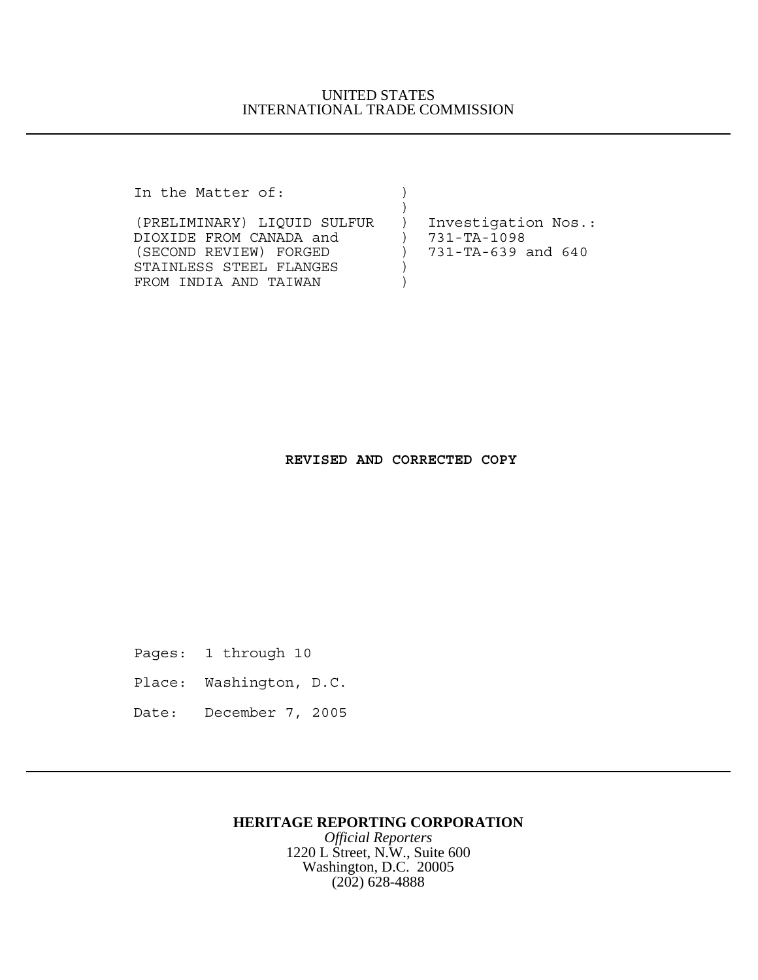## UNITED STATES INTERNATIONAL TRADE COMMISSION

In the Matter of: )

| (PRELIMINARY) LIOUID SULFUR | Investigation Nos.:    |
|-----------------------------|------------------------|
| DIOXIDE FROM CANADA and     | 731-TA-1098            |
| (SECOND REVIEW) FORGED      | $) 731-TA-639$ and 640 |
| STAINLESS STEEL FLANGES     |                        |
| FROM INDIA AND TAIWAN       |                        |

## **REVISED AND CORRECTED COPY**

Pages: 1 through 10

Place: Washington, D.C.

Date: December 7, 2005

## **HERITAGE REPORTING CORPORATION**

*Official Reporters* 1220 L Street, N.W., Suite 600 Washington, D.C. 20005  $(202)$  628-4888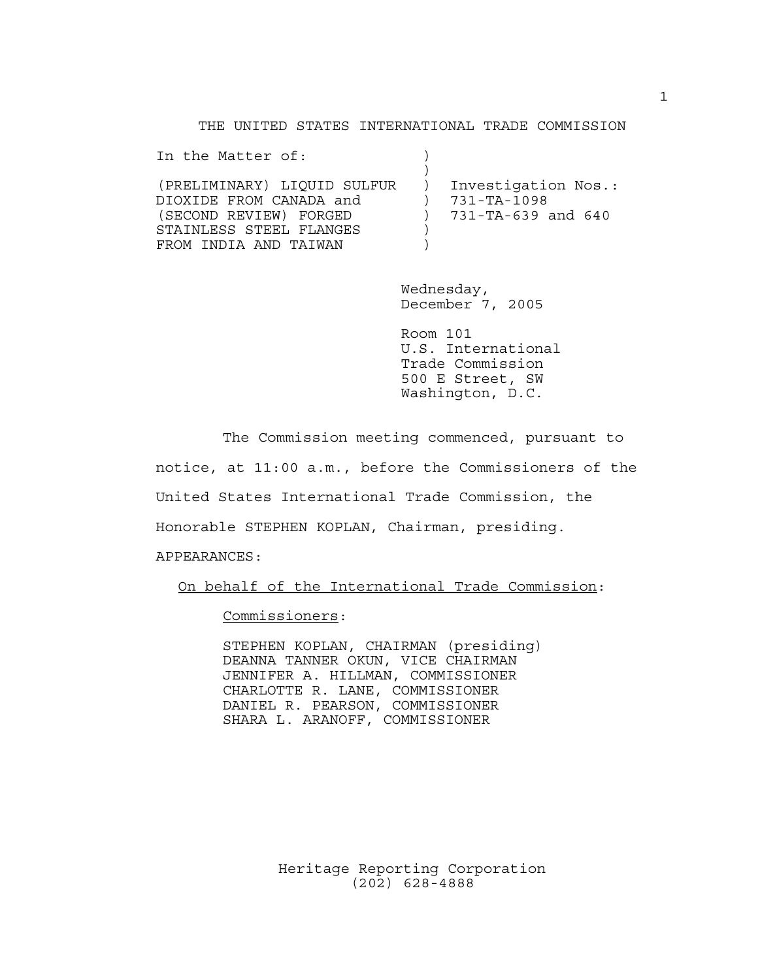THE UNITED STATES INTERNATIONAL TRADE COMMISSION

| Investigation Nos.: |
|---------------------|
| 731-TA-1098         |
| 731-TA-639 and 640  |
|                     |
|                     |
|                     |

Wednesday, December 7, 2005

Room 101 U.S. International Trade Commission 500 E Street, SW Washington, D.C.

The Commission meeting commenced, pursuant to notice, at 11:00 a.m., before the Commissioners of the United States International Trade Commission, the Honorable STEPHEN KOPLAN, Chairman, presiding. APPEARANCES:

On behalf of the International Trade Commission:

Commissioners:

STEPHEN KOPLAN, CHAIRMAN (presiding) DEANNA TANNER OKUN, VICE CHAIRMAN JENNIFER A. HILLMAN, COMMISSIONER CHARLOTTE R. LANE, COMMISSIONER DANIEL R. PEARSON, COMMISSIONER SHARA L. ARANOFF, COMMISSIONER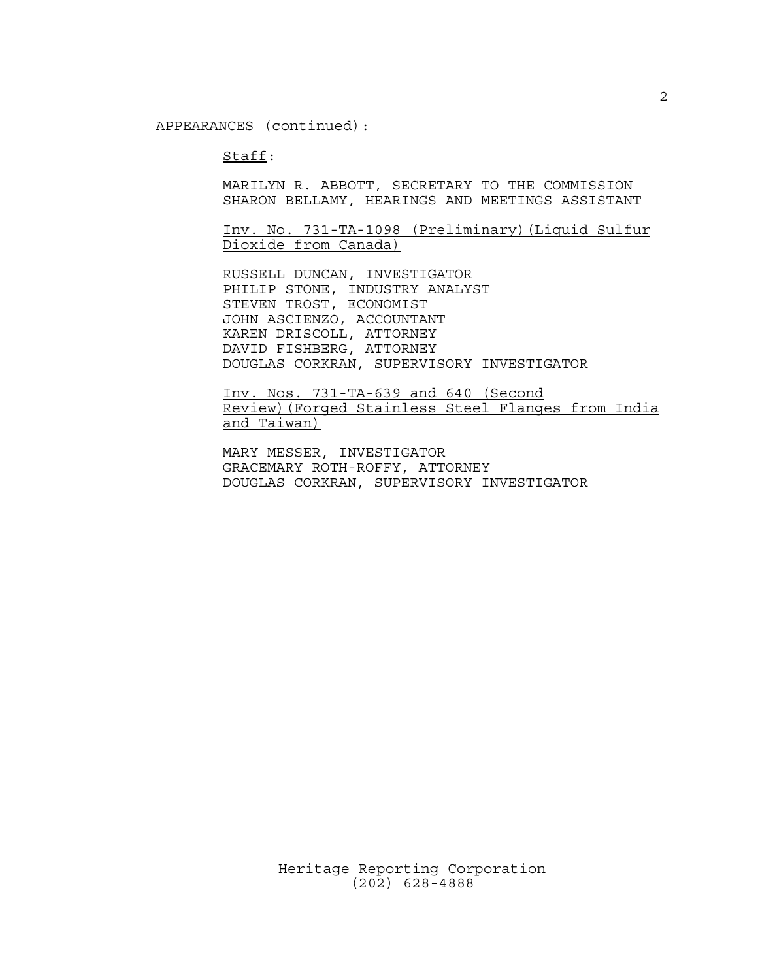Staff:

MARILYN R. ABBOTT, SECRETARY TO THE COMMISSION SHARON BELLAMY, HEARINGS AND MEETINGS ASSISTANT

Inv. No. 731-TA-1098 (Preliminary)(Liquid Sulfur Dioxide from Canada)

RUSSELL DUNCAN, INVESTIGATOR PHILIP STONE, INDUSTRY ANALYST STEVEN TROST, ECONOMIST JOHN ASCIENZO, ACCOUNTANT KAREN DRISCOLL, ATTORNEY DAVID FISHBERG, ATTORNEY DOUGLAS CORKRAN, SUPERVISORY INVESTIGATOR

Inv. Nos. 731-TA-639 and 640 (Second Review)(Forged Stainless Steel Flanges from India and Taiwan)

MARY MESSER, INVESTIGATOR GRACEMARY ROTH-ROFFY, ATTORNEY DOUGLAS CORKRAN, SUPERVISORY INVESTIGATOR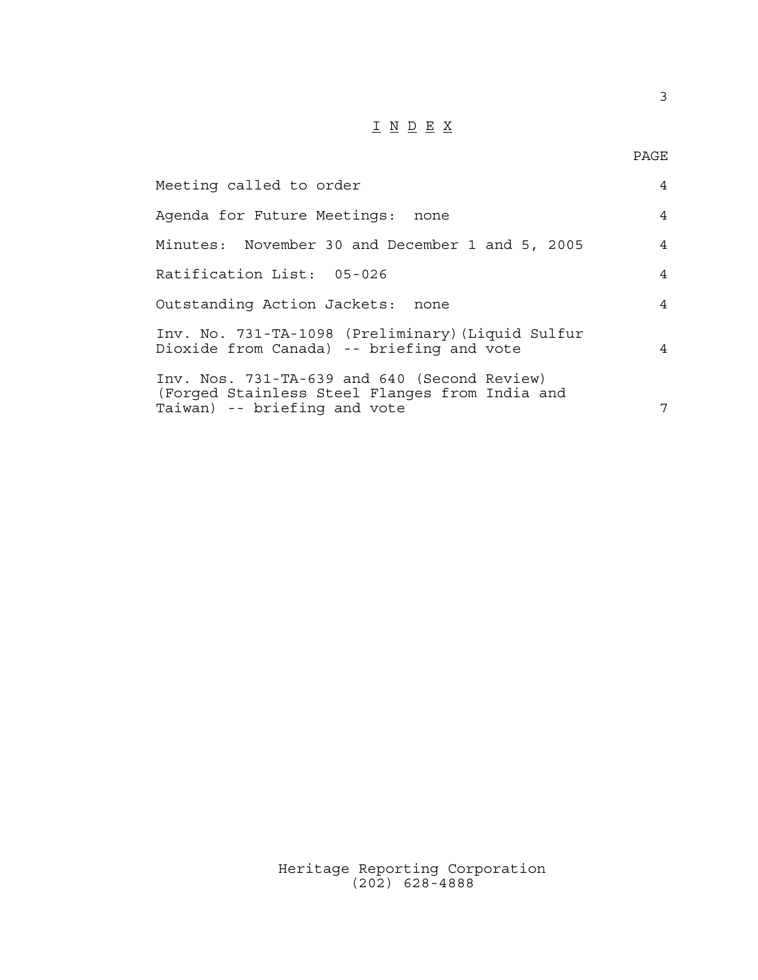## $\underline{\texttt{I}} \ \underline{\texttt{N}} \ \underline{\texttt{D}} \ \underline{\texttt{E}} \ \underline{\texttt{X}}$

3

| Meeting called to order                                                                                                        | $\overline{4}$ |
|--------------------------------------------------------------------------------------------------------------------------------|----------------|
| Agenda for Future Meetings: none                                                                                               | $\overline{4}$ |
| Minutes: November 30 and December 1 and 5, 2005                                                                                | $\overline{4}$ |
| Ratification List: 05-026                                                                                                      | $\overline{4}$ |
| Outstanding Action Jackets: none                                                                                               | $\overline{4}$ |
| Inv. No. 731-TA-1098 (Preliminary) (Liquid Sulfur<br>Dioxide from Canada) -- briefing and vote                                 | $\overline{4}$ |
| Inv. Nos. 731-TA-639 and 640 (Second Review)<br>(Forged Stainless Steel Flanges from India and<br>Taiwan) -- briefing and vote | 7              |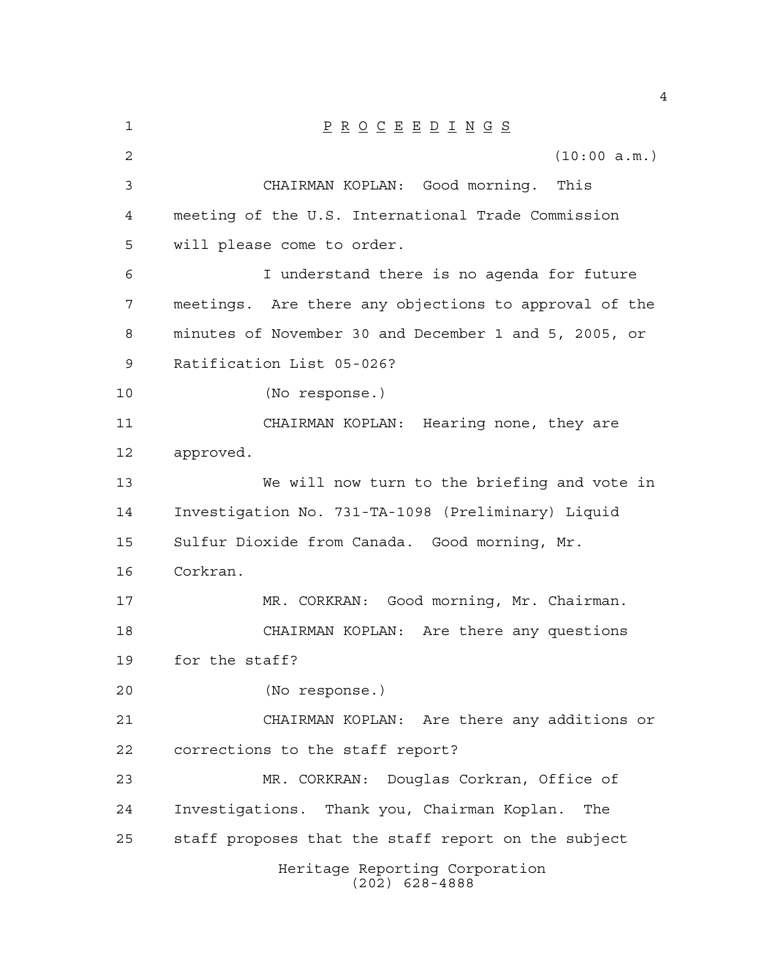| 1              | $\underline{P} \underline{R} \underline{O} \underline{C} \underline{E} \underline{E} \underline{D} \underline{I} \underline{N} \underline{G} \underline{S}$ |
|----------------|-------------------------------------------------------------------------------------------------------------------------------------------------------------|
| $\overline{2}$ | (10:00 a.m.)                                                                                                                                                |
| 3              | CHAIRMAN KOPLAN: Good morning.<br>This                                                                                                                      |
| 4              | meeting of the U.S. International Trade Commission                                                                                                          |
| 5              | will please come to order.                                                                                                                                  |
| 6              | I understand there is no agenda for future                                                                                                                  |
| 7              | meetings. Are there any objections to approval of the                                                                                                       |
| 8              | minutes of November 30 and December 1 and 5, 2005, or                                                                                                       |
| 9              | Ratification List 05-026?                                                                                                                                   |
| 10             | (No response.)                                                                                                                                              |
| 11             | CHAIRMAN KOPLAN: Hearing none, they are                                                                                                                     |
| 12             | approved.                                                                                                                                                   |
| 13             | We will now turn to the briefing and vote in                                                                                                                |
| 14             | Investigation No. 731-TA-1098 (Preliminary) Liquid                                                                                                          |
| 15             | Sulfur Dioxide from Canada. Good morning, Mr.                                                                                                               |
| 16             | Corkran.                                                                                                                                                    |
| 17             | MR. CORKRAN: Good morning, Mr. Chairman.                                                                                                                    |
| 18             | CHAIRMAN KOPLAN: Are there any questions                                                                                                                    |
| 19             | for the staff?                                                                                                                                              |
| 20             | (No response.)                                                                                                                                              |
| 21             | CHAIRMAN KOPLAN: Are there any additions or                                                                                                                 |
| 22             | corrections to the staff report?                                                                                                                            |
| 23             | MR. CORKRAN: Douglas Corkran, Office of                                                                                                                     |
| 24             | Investigations. Thank you, Chairman Koplan.<br>The                                                                                                          |
| 25             | staff proposes that the staff report on the subject                                                                                                         |
|                | Heritage Reporting Corporation<br>$(202)$ 628-4888                                                                                                          |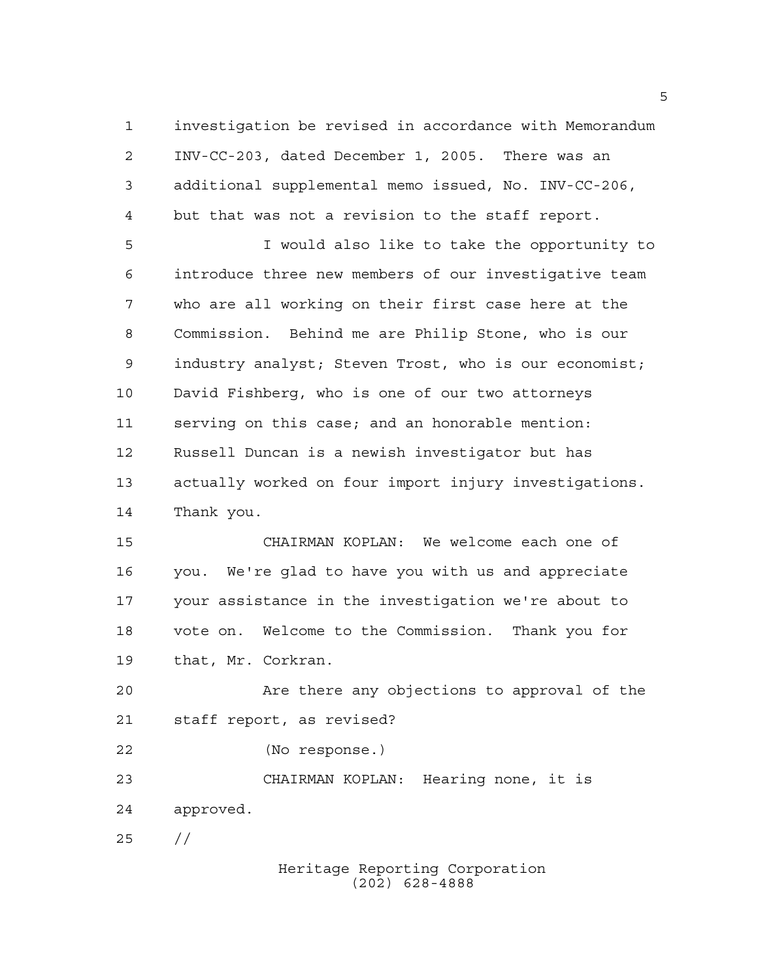investigation be revised in accordance with Memorandum INV-CC-203, dated December 1, 2005. There was an additional supplemental memo issued, No. INV-CC-206, but that was not a revision to the staff report.

 I would also like to take the opportunity to introduce three new members of our investigative team who are all working on their first case here at the Commission. Behind me are Philip Stone, who is our industry analyst; Steven Trost, who is our economist; David Fishberg, who is one of our two attorneys serving on this case; and an honorable mention: Russell Duncan is a newish investigator but has actually worked on four import injury investigations. Thank you.

 CHAIRMAN KOPLAN: We welcome each one of you. We're glad to have you with us and appreciate your assistance in the investigation we're about to vote on. Welcome to the Commission. Thank you for that, Mr. Corkran.

 Are there any objections to approval of the staff report, as revised?

(No response.)

 CHAIRMAN KOPLAN: Hearing none, it is approved. //

> Heritage Reporting Corporation (202) 628-4888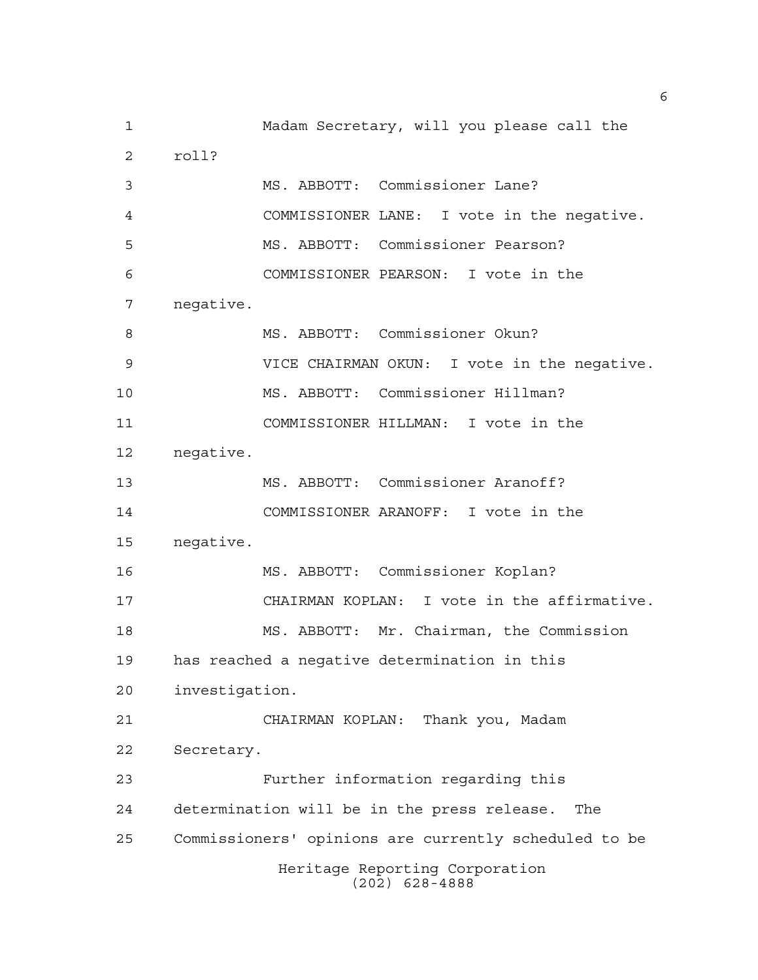Madam Secretary, will you please call the roll? MS. ABBOTT: Commissioner Lane? COMMISSIONER LANE: I vote in the negative. MS. ABBOTT: Commissioner Pearson? COMMISSIONER PEARSON: I vote in the negative. 8 MS. ABBOTT: Commissioner Okun? VICE CHAIRMAN OKUN: I vote in the negative. MS. ABBOTT: Commissioner Hillman? COMMISSIONER HILLMAN: I vote in the negative. MS. ABBOTT: Commissioner Aranoff? COMMISSIONER ARANOFF: I vote in the negative. MS. ABBOTT: Commissioner Koplan? CHAIRMAN KOPLAN: I vote in the affirmative. MS. ABBOTT: Mr. Chairman, the Commission has reached a negative determination in this investigation. CHAIRMAN KOPLAN: Thank you, Madam Secretary. Further information regarding this determination will be in the press release. The Commissioners' opinions are currently scheduled to be Heritage Reporting Corporation (202) 628-4888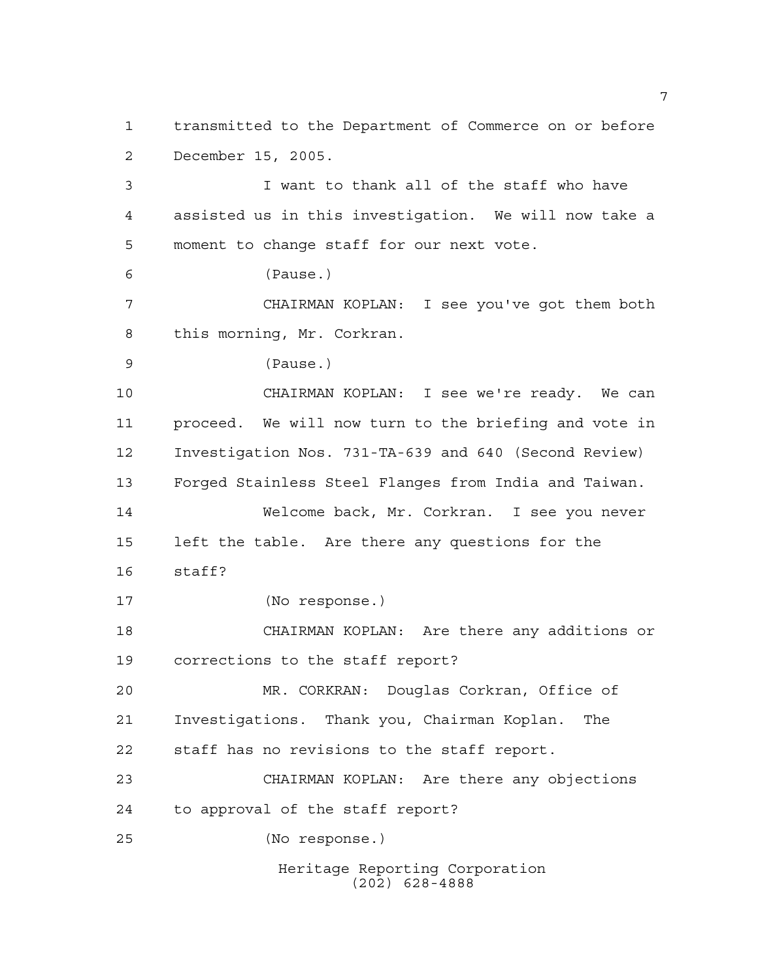transmitted to the Department of Commerce on or before December 15, 2005.

 I want to thank all of the staff who have assisted us in this investigation. We will now take a moment to change staff for our next vote.

(Pause.)

 CHAIRMAN KOPLAN: I see you've got them both this morning, Mr. Corkran.

(Pause.)

 CHAIRMAN KOPLAN: I see we're ready. We can proceed. We will now turn to the briefing and vote in Investigation Nos. 731-TA-639 and 640 (Second Review) Forged Stainless Steel Flanges from India and Taiwan. Welcome back, Mr. Corkran. I see you never left the table. Are there any questions for the staff?

(No response.)

 CHAIRMAN KOPLAN: Are there any additions or corrections to the staff report?

 MR. CORKRAN: Douglas Corkran, Office of Investigations. Thank you, Chairman Koplan. The staff has no revisions to the staff report.

 CHAIRMAN KOPLAN: Are there any objections to approval of the staff report?

(No response.)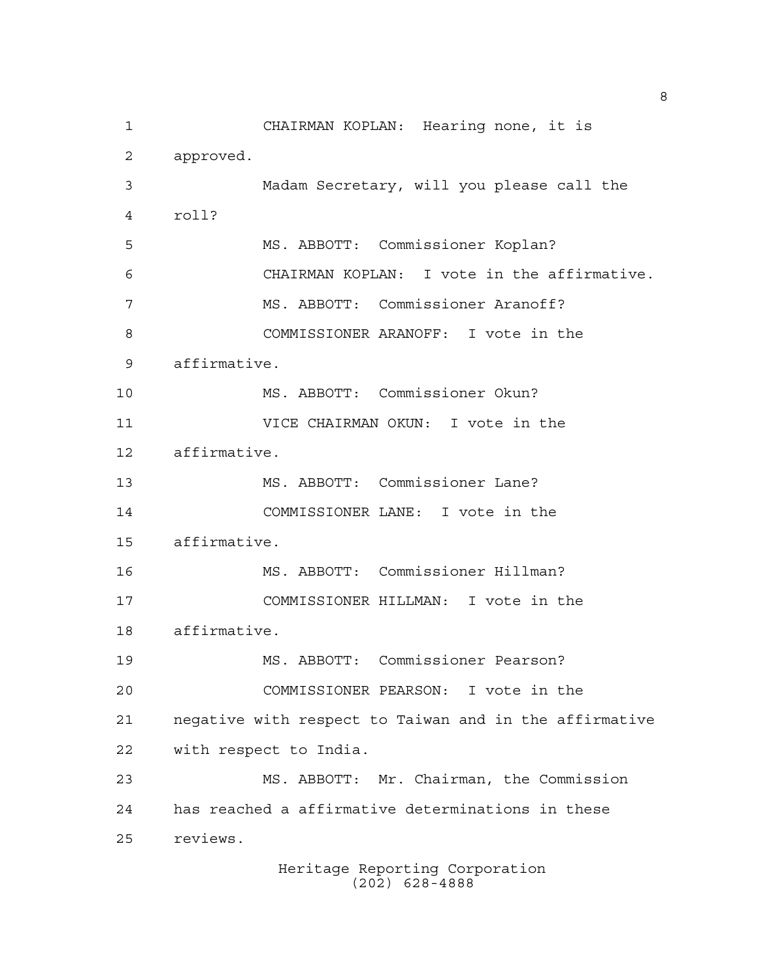CHAIRMAN KOPLAN: Hearing none, it is approved. Madam Secretary, will you please call the roll? MS. ABBOTT: Commissioner Koplan? CHAIRMAN KOPLAN: I vote in the affirmative. MS. ABBOTT: Commissioner Aranoff? COMMISSIONER ARANOFF: I vote in the affirmative. MS. ABBOTT: Commissioner Okun? VICE CHAIRMAN OKUN: I vote in the affirmative. MS. ABBOTT: Commissioner Lane? COMMISSIONER LANE: I vote in the affirmative. MS. ABBOTT: Commissioner Hillman? COMMISSIONER HILLMAN: I vote in the affirmative. MS. ABBOTT: Commissioner Pearson? COMMISSIONER PEARSON: I vote in the negative with respect to Taiwan and in the affirmative with respect to India. MS. ABBOTT: Mr. Chairman, the Commission has reached a affirmative determinations in these reviews. Heritage Reporting Corporation

(202) 628-4888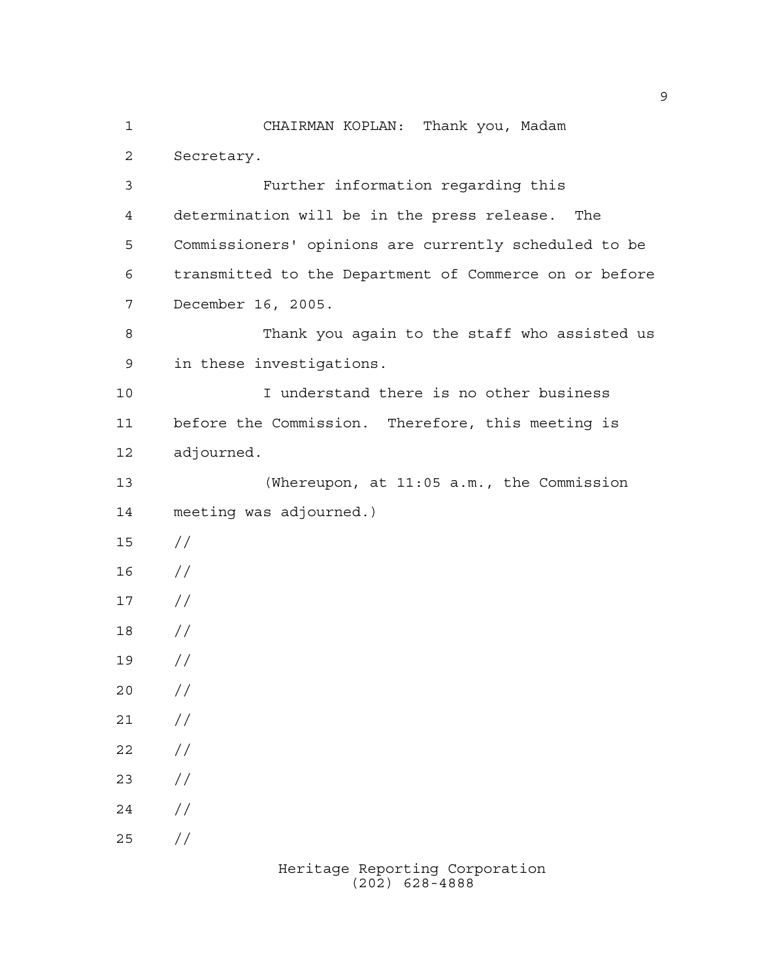CHAIRMAN KOPLAN: Thank you, Madam Secretary. Further information regarding this determination will be in the press release. The Commissioners' opinions are currently scheduled to be transmitted to the Department of Commerce on or before December 16, 2005. Thank you again to the staff who assisted us in these investigations. I understand there is no other business before the Commission. Therefore, this meeting is adjourned. (Whereupon, at 11:05 a.m., the Commission meeting was adjourned.) // //  $17 /$  // //  $20 /$  $21 /$  $22 / /$  $23 / /$  $24 /$  $25 / /$ 

> Heritage Reporting Corporation (202) 628-4888